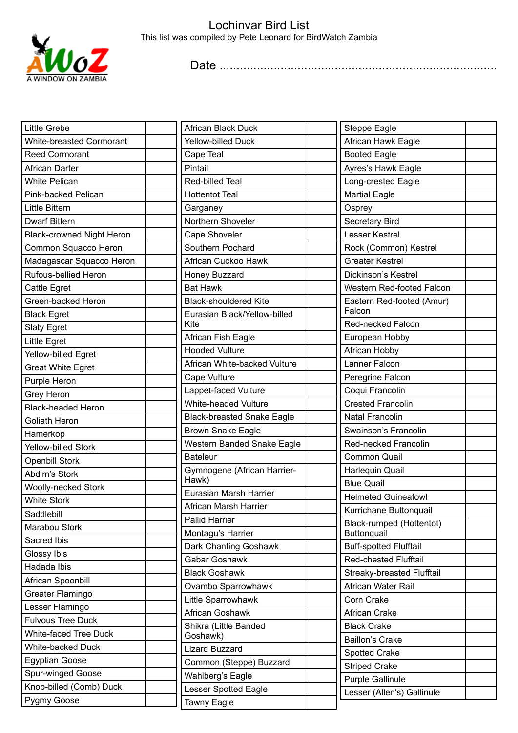

Date ..................................................................................

| Little Grebe                     | <b>African Black Duck</b>                      | <b>Steppe Eagle</b>                     |
|----------------------------------|------------------------------------------------|-----------------------------------------|
| <b>White-breasted Cormorant</b>  | <b>Yellow-billed Duck</b>                      | African Hawk Eagle                      |
| <b>Reed Cormorant</b>            | Cape Teal                                      | <b>Booted Eagle</b>                     |
| <b>African Darter</b>            | Pintail                                        | Ayres's Hawk Eagle                      |
| <b>White Pelican</b>             | Red-billed Teal                                | Long-crested Eagle                      |
| Pink-backed Pelican              | <b>Hottentot Teal</b>                          | <b>Martial Eagle</b>                    |
| Little Bittern                   | Garganey                                       | Osprey                                  |
| <b>Dwarf Bittern</b>             | Northern Shoveler                              | Secretary Bird                          |
| <b>Black-crowned Night Heron</b> | Cape Shoveler                                  | Lesser Kestrel                          |
| Common Squacco Heron             | Southern Pochard                               | Rock (Common) Kestrel                   |
| Madagascar Squacco Heron         | African Cuckoo Hawk                            | <b>Greater Kestrel</b>                  |
| Rufous-bellied Heron             | Honey Buzzard                                  | Dickinson's Kestrel                     |
| Cattle Egret                     | <b>Bat Hawk</b>                                | Western Red-footed Falcon               |
| Green-backed Heron               | <b>Black-shouldered Kite</b>                   | Eastern Red-footed (Amur)               |
| <b>Black Egret</b>               | Eurasian Black/Yellow-billed                   | Falcon                                  |
| <b>Slaty Egret</b>               | Kite                                           | <b>Red-necked Falcon</b>                |
| Little Egret                     | African Fish Eagle                             | European Hobby                          |
| Yellow-billed Egret              | <b>Hooded Vulture</b>                          | African Hobby                           |
| <b>Great White Egret</b>         | African White-backed Vulture                   | Lanner Falcon                           |
| Purple Heron                     | Cape Vulture                                   | Peregrine Falcon                        |
| Grey Heron                       | Lappet-faced Vulture                           | Coqui Francolin                         |
| <b>Black-headed Heron</b>        | White-headed Vulture                           | <b>Crested Francolin</b>                |
| <b>Goliath Heron</b>             | <b>Black-breasted Snake Eagle</b>              | <b>Natal Francolin</b>                  |
| Hamerkop                         | <b>Brown Snake Eagle</b>                       | Swainson's Francolin                    |
| Yellow-billed Stork              | Western Banded Snake Eagle                     | Red-necked Francolin                    |
| <b>Openbill Stork</b>            | <b>Bateleur</b>                                | <b>Common Quail</b>                     |
| Abdim's Stork                    | Gymnogene (African Harrier-                    | Harlequin Quail                         |
| <b>Woolly-necked Stork</b>       | Hawk)<br>Eurasian Marsh Harrier                | <b>Blue Quail</b>                       |
| <b>White Stork</b>               |                                                | <b>Helmeted Guineafowl</b>              |
| Saddlebill                       | African Marsh Harrier<br><b>Pallid Harrier</b> | Kurrichane Buttonquail                  |
| Marabou Stork                    | Montagu's Harrier                              | Black-rumped (Hottentot)<br>Buttonquail |
| Sacred Ibis                      | Dark Chanting Goshawk                          | <b>Buff-spotted Flufftail</b>           |
| Glossy Ibis                      | Gabar Goshawk                                  | <b>Red-chested Flufftail</b>            |
| Hadada Ibis                      | <b>Black Goshawk</b>                           | Streaky-breasted Flufftail              |
| African Spoonbill                | Ovambo Sparrowhawk                             | African Water Rail                      |
| Greater Flamingo                 | Little Sparrowhawk                             | Corn Crake                              |
| Lesser Flamingo                  | African Goshawk                                | African Crake                           |
| <b>Fulvous Tree Duck</b>         | Shikra (Little Banded                          | <b>Black Crake</b>                      |
| <b>White-faced Tree Duck</b>     | Goshawk)                                       | <b>Baillon's Crake</b>                  |
| White-backed Duck                | <b>Lizard Buzzard</b>                          | Spotted Crake                           |
| <b>Egyptian Goose</b>            | Common (Steppe) Buzzard                        | <b>Striped Crake</b>                    |
| Spur-winged Goose                | Wahlberg's Eagle                               | Purple Gallinule                        |
| Knob-billed (Comb) Duck          | <b>Lesser Spotted Eagle</b>                    | Lesser (Allen's) Gallinule              |
| Pygmy Goose                      | Tawny Eagle                                    |                                         |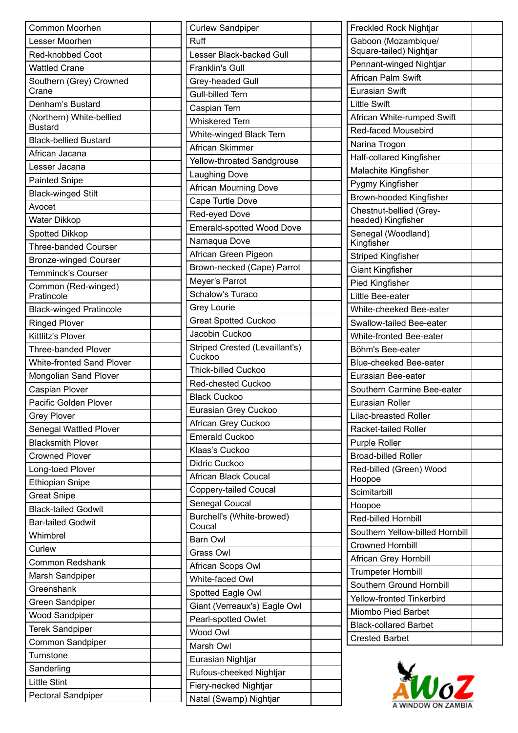| Common Moorhen                                     | <b>Curlew Sandpiper</b>             | <b>Freckled Rock Nightjar</b>                 |
|----------------------------------------------------|-------------------------------------|-----------------------------------------------|
| Lesser Moorhen                                     | Ruff                                | Gaboon (Mozambique/                           |
| Red-knobbed Coot                                   | Lesser Black-backed Gull            | Square-tailed) Nightjar                       |
| <b>Wattled Crane</b>                               | <b>Franklin's Gull</b>              | Pennant-winged Nightjar                       |
| Southern (Grey) Crowned                            | Grey-headed Gull                    | African Palm Swift                            |
| Crane                                              | Gull-billed Tern                    | <b>Eurasian Swift</b>                         |
| Denham's Bustard                                   | Caspian Tern                        | <b>Little Swift</b>                           |
| (Northern) White-bellied<br><b>Bustard</b>         | <b>Whiskered Tern</b>               | African White-rumped Swift                    |
| <b>Black-bellied Bustard</b>                       | White-winged Black Tern             | Red-faced Mousebird                           |
| African Jacana                                     | African Skimmer                     | Narina Trogon                                 |
| Lesser Jacana                                      | Yellow-throated Sandgrouse          | Half-collared Kingfisher                      |
| <b>Painted Snipe</b>                               | Laughing Dove                       | Malachite Kingfisher                          |
|                                                    | <b>African Mourning Dove</b>        | Pygmy Kingfisher                              |
| <b>Black-winged Stilt</b><br>Avocet                | Cape Turtle Dove                    | Brown-hooded Kingfisher                       |
| Water Dikkop                                       | Red-eyed Dove                       | Chestnut-bellied (Grey-<br>headed) Kingfisher |
|                                                    | Emerald-spotted Wood Dove           | Senegal (Woodland)                            |
| Spotted Dikkop<br><b>Three-banded Courser</b>      | Namaqua Dove                        | Kingfisher                                    |
|                                                    | African Green Pigeon                | <b>Striped Kingfisher</b>                     |
| <b>Bronze-winged Courser</b><br>Temminck's Courser | Brown-necked (Cape) Parrot          | <b>Giant Kingfisher</b>                       |
|                                                    | Meyer's Parrot                      | Pied Kingfisher                               |
| Common (Red-winged)<br>Pratincole                  | Schalow's Turaco                    | Little Bee-eater                              |
| <b>Black-winged Pratincole</b>                     | <b>Grey Lourie</b>                  | White-cheeked Bee-eater                       |
| <b>Ringed Plover</b>                               | <b>Great Spotted Cuckoo</b>         | Swallow-tailed Bee-eater                      |
| Kittlitz's Plover                                  | Jacobin Cuckoo                      | White-fronted Bee-eater                       |
| <b>Three-banded Plover</b>                         | Striped Crested (Levaillant's)      | Böhm's Bee-eater                              |
| White-fronted Sand Plover                          | Cuckoo                              | <b>Blue-cheeked Bee-eater</b>                 |
| Mongolian Sand Plover                              | <b>Thick-billed Cuckoo</b>          | Eurasian Bee-eater                            |
| Caspian Plover                                     | Red-chested Cuckoo                  | Southern Carmine Bee-eater                    |
| Pacific Golden Plover                              | <b>Black Cuckoo</b>                 | <b>Eurasian Roller</b>                        |
| <b>Grey Plover</b>                                 | Eurasian Grey Cuckoo                | <b>Lilac-breasted Roller</b>                  |
| Senegal Wattled Plover                             | African Grey Cuckoo                 | Racket-tailed Roller                          |
| <b>Blacksmith Plover</b>                           | <b>Emerald Cuckoo</b>               | Purple Roller                                 |
| <b>Crowned Plover</b>                              | Klaas's Cuckoo                      | <b>Broad-billed Roller</b>                    |
| Long-toed Plover                                   | Didric Cuckoo                       | Red-billed (Green) Wood                       |
| <b>Ethiopian Snipe</b>                             | African Black Coucal                | Hoopoe                                        |
| <b>Great Snipe</b>                                 | Coppery-tailed Coucal               | Scimitarbill                                  |
| <b>Black-tailed Godwit</b>                         | Senegal Coucal                      | Hoopoe                                        |
| <b>Bar-tailed Godwit</b>                           | Burchell's (White-browed)<br>Coucal | Red-billed Hornbill                           |
| Whimbrel                                           | Barn Owl                            | Southern Yellow-billed Hornbill               |
| Curlew                                             | Grass Owl                           | <b>Crowned Hornbill</b>                       |
| <b>Common Redshank</b>                             | African Scops Owl                   | African Grey Hornbill                         |
| Marsh Sandpiper                                    | White-faced Owl                     | <b>Trumpeter Hornbill</b>                     |
| Greenshank                                         | Spotted Eagle Owl                   | Southern Ground Hornbill                      |
| Green Sandpiper                                    | Giant (Verreaux's) Eagle Owl        | Yellow-fronted Tinkerbird                     |
| <b>Wood Sandpiper</b>                              | Pearl-spotted Owlet                 | Miombo Pied Barbet                            |
| <b>Terek Sandpiper</b>                             | Wood Owl                            | <b>Black-collared Barbet</b>                  |
| Common Sandpiper                                   |                                     | <b>Crested Barbet</b>                         |
| Turnstone                                          | Marsh Owl                           |                                               |
| Sanderling                                         | Eurasian Nightjar                   |                                               |
| <b>Little Stint</b>                                | Rufous-cheeked Nightjar             | $w_0$ z                                       |
| Pectoral Sandpiper                                 | Fiery-necked Nightjar               |                                               |
|                                                    | Natal (Swamp) Nightjar              |                                               |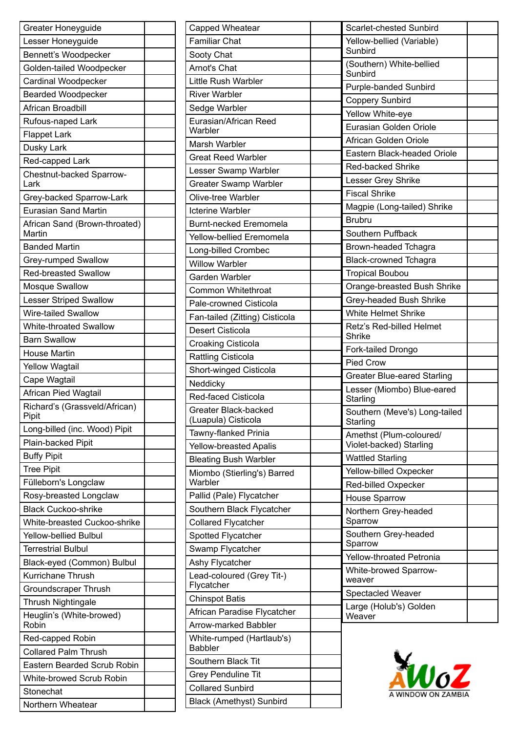| Greater Honeyguide                      |  |
|-----------------------------------------|--|
| Lesser Honeyguide                       |  |
| Bennett's Woodpecker                    |  |
| Golden-tailed Woodpecker                |  |
| Cardinal Woodpecker                     |  |
| <b>Bearded Woodpecker</b>               |  |
| African Broadbill                       |  |
| Rufous-naped Lark                       |  |
| <b>Flappet Lark</b>                     |  |
| Dusky Lark                              |  |
| Red-capped Lark                         |  |
| Chestnut-backed Sparrow-<br>Lark        |  |
| Grey-backed Sparrow-Lark                |  |
| <b>Eurasian Sand Martin</b>             |  |
| African Sand (Brown-throated)<br>Martin |  |
| <b>Banded Martin</b>                    |  |
| Grey-rumped Swallow                     |  |
| <b>Red-breasted Swallow</b>             |  |
| Mosque Swallow                          |  |
| <b>Lesser Striped Swallow</b>           |  |
| <b>Wire-tailed Swallow</b>              |  |
| <b>White-throated Swallow</b>           |  |
| <b>Barn Swallow</b>                     |  |
| <b>House Martin</b>                     |  |
| <b>Yellow Wagtail</b>                   |  |
| Cape Wagtail                            |  |
| African Pied Wagtail                    |  |
| Richard's (Grassveld/African)<br>Pipit  |  |
| Long-billed (inc. Wood) Pipit           |  |
| Plain-backed Pipit                      |  |
| <b>Buffy Pipit</b>                      |  |
| <b>Tree Pipit</b>                       |  |
| Fülleborn's Longclaw                    |  |
| Rosy-breasted Longclaw                  |  |
| <b>Black Cuckoo-shrike</b>              |  |
| White-breasted Cuckoo-shrike            |  |
| <b>Yellow-bellied Bulbul</b>            |  |
| <b>Terrestrial Bulbul</b>               |  |
| Black-eyed (Common) Bulbul              |  |
| Kurrichane Thrush                       |  |
| <b>Groundscraper Thrush</b>             |  |
| Thrush Nightingale                      |  |
| Heuglin's (White-browed)<br>Robin       |  |
| Red-capped Robin                        |  |
| <b>Collared Palm Thrush</b>             |  |
| Eastern Bearded Scrub Robin             |  |
| White-browed Scrub Robin                |  |
| Stonechat                               |  |
| Northern Wheatear                       |  |
|                                         |  |

| Capped Wheatear                             |  |
|---------------------------------------------|--|
| <b>Familiar Chat</b>                        |  |
| Sooty Chat                                  |  |
| Arnot's Chat                                |  |
| Little Rush Warbler                         |  |
| <b>River Warbler</b>                        |  |
| Sedge Warbler                               |  |
| Eurasian/African Reed<br>Warbler            |  |
| Marsh Warbler                               |  |
| <b>Great Reed Warbler</b>                   |  |
| Lesser Swamp Warbler                        |  |
| <b>Greater Swamp Warbler</b>                |  |
| Olive-tree Warbler                          |  |
| <b>Icterine Warbler</b>                     |  |
| Burnt-necked Eremomela                      |  |
| Yellow-bellied Eremomela                    |  |
| Long-billed Crombec                         |  |
| <b>Willow Warbler</b>                       |  |
| Garden Warbler                              |  |
| Common Whitethroat                          |  |
| Pale-crowned Cisticola                      |  |
| Fan-tailed (Zitting) Cisticola              |  |
| Desert Cisticola                            |  |
| <b>Croaking Cisticola</b>                   |  |
| <b>Rattling Cisticola</b>                   |  |
| Short-winged Cisticola                      |  |
| Neddicky                                    |  |
| Red-faced Cisticola                         |  |
| Greater Black-backed                        |  |
| (Luapula) Cisticola                         |  |
| Tawny-flanked Prinia                        |  |
| Yellow-breasted Apalis                      |  |
| <b>Bleating Bush Warbler</b>                |  |
| Miombo (Stierling's) Barred<br>Warbler      |  |
| Pallid (Pale) Flycatcher                    |  |
| Southern Black Flycatcher                   |  |
| <b>Collared Flycatcher</b>                  |  |
| Spotted Flycatcher                          |  |
| Swamp Flycatcher                            |  |
| Ashy Flycatcher                             |  |
| Lead-coloured (Grey Tit-)<br>Flycatcher     |  |
| <b>Chinspot Batis</b>                       |  |
| African Paradise Flycatcher                 |  |
| Arrow-marked Babbler                        |  |
| White-rumped (Hartlaub's)<br><b>Babbler</b> |  |
| Southern Black Tit                          |  |
| <b>Grey Penduline Tit</b>                   |  |
| <b>Collared Sunbird</b>                     |  |
| <b>Black (Amethyst) Sunbird</b>             |  |

| Scarlet-chested Sunbird                            |  |
|----------------------------------------------------|--|
| Yellow-bellied (Variable)<br>Sunbird               |  |
| (Southern) White-bellied<br>Sunbird                |  |
| <b>Purple-banded Sunbird</b>                       |  |
| <b>Coppery Sunbird</b>                             |  |
| Yellow White-eye                                   |  |
| Eurasian Golden Oriole                             |  |
| African Golden Oriole                              |  |
| Eastern Black-headed Oriole                        |  |
| <b>Red-backed Shrike</b>                           |  |
| Lesser Grey Shrike                                 |  |
| <b>Fiscal Shrike</b>                               |  |
| Magpie (Long-tailed) Shrike                        |  |
| <b>Brubru</b>                                      |  |
| Southern Puffback                                  |  |
| Brown-headed Tchagra                               |  |
| <b>Black-crowned Tchagra</b>                       |  |
| <b>Tropical Boubou</b>                             |  |
| Orange-breasted Bush Shrike                        |  |
| Grey-headed Bush Shrike                            |  |
| <b>White Helmet Shrike</b>                         |  |
| Retz's Red-billed Helmet<br><b>Shrike</b>          |  |
| Fork-tailed Drongo                                 |  |
| Pied Crow                                          |  |
| <b>Greater Blue-eared Starling</b>                 |  |
| Lesser (Miombo) Blue-eared<br>Starling             |  |
| Southern (Meve's) Long-tailed<br>Starling          |  |
| Amethst (Plum-coloured/<br>Violet-backed) Starling |  |
| <b>Wattled Starling</b>                            |  |
| Yellow-billed Oxpecker                             |  |
| Red-billed Oxpecker                                |  |
| <b>House Sparrow</b>                               |  |
| Northern Grey-headed<br>Sparrow                    |  |
| Southern Grey-headed<br>Sparrow                    |  |
| Yellow-throated Petronia                           |  |
| <b>White-browed Sparrow-</b><br>weaver             |  |
| <b>Spectacled Weaver</b>                           |  |
| Large (Holub's) Golden<br>Weaver                   |  |
|                                                    |  |